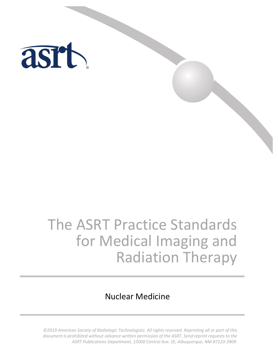

# The ASRT Practice Standards for Medical Imaging and Radiation Therapy

# Nuclear Medicine

*©2019 American Society of Radiologic Technologists. All rights reserved. Reprinting all or part of this document is prohibited without advance written permission of the ASRT. Send reprint requests to the ASRT Publications Department, 15000 Central Ave. SE, Albuquerque, NM 87123-3909.*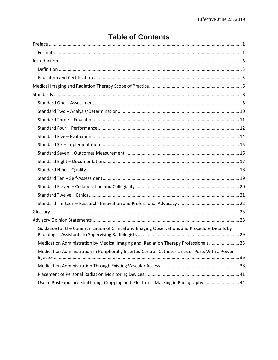| Guidance for the Communication of Clinical and Imaging Observations and Procedure Details by    |  |
|-------------------------------------------------------------------------------------------------|--|
| Medication Administration by Medical Imaging and Radiation Therapy Professionals 33             |  |
| Medication Administration in Peripherally Inserted Central Catheter Lines or Ports With a Power |  |
|                                                                                                 |  |
|                                                                                                 |  |
| Use of Postexposure Shuttering, Cropping and Electronic Masking in Radiography  44              |  |

# **Table of Contents**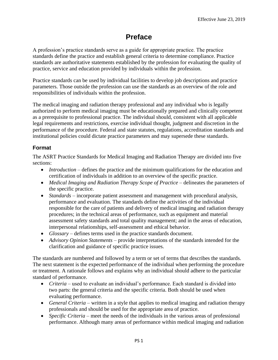# **Preface**

<span id="page-2-0"></span>A profession's practice standards serve as a guide for appropriate practice. The practice standards define the practice and establish general criteria to determine compliance. Practice standards are authoritative statements established by the profession for evaluating the quality of practice, service and education provided by individuals within the profession.

Practice standards can be used by individual facilities to develop job descriptions and practice parameters. Those outside the profession can use the standards as an overview of the role and responsibilities of individuals within the profession.

The medical imaging and radiation therapy professional and any individual who is legally authorized to perform medical imaging must be educationally prepared and clinically competent as a prerequisite to professional practice. The individual should, consistent with all applicable legal requirements and restrictions, exercise individual thought, judgment and discretion in the performance of the procedure. Federal and state statutes, regulations, accreditation standards and institutional policies could dictate practice parameters and may supersede these standards.

# <span id="page-2-1"></span>**Format**

The ASRT Practice Standards for Medical Imaging and Radiation Therapy are divided into five sections:

- *Introduction* defines the practice and the minimum qualifications for the education and certification of individuals in addition to an overview of the specific practice.
- *Medical Imaging and Radiation Therapy Scope of Practice* delineates the parameters of the specific practice.
- *Standards* incorporate patient assessment and management with procedural analysis, performance and evaluation. The standards define the activities of the individual responsible for the care of patients and delivery of medical imaging and radiation therapy procedures; in the technical areas of performance, such as equipment and material assessment safety standards and total quality management; and in the areas of education, interpersonal relationships, self-assessment and ethical behavior.
- *Glossary* defines terms used in the practice standards document.
- *Advisory Opinion Statements* provide interpretations of the standards intended for the clarification and guidance of specific practice issues.

The standards are numbered and followed by a term or set of terms that describes the standards. The next statement is the expected performance of the individual when performing the procedure or treatment. A rationale follows and explains why an individual should adhere to the particular standard of performance.

- *Criteria* used to evaluate an individual's performance. Each standard is divided into two parts: the general criteria and the specific criteria. Both should be used when evaluating performance.
- *General Criteria* written in a style that applies to medical imaging and radiation therapy professionals and should be used for the appropriate area of practice.
- *Specific Criteria* meet the needs of the individuals in the various areas of professional performance. Although many areas of performance within medical imaging and radiation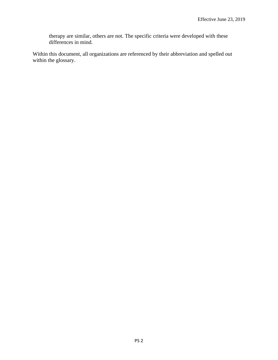therapy are similar, others are not. The specific criteria were developed with these differences in mind.

Within this document, all organizations are referenced by their abbreviation and spelled out within the glossary.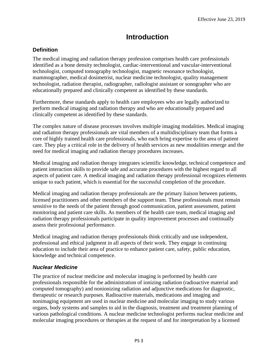# **Introduction**

# <span id="page-4-1"></span><span id="page-4-0"></span>**Definition**

The medical imaging and radiation therapy profession comprises health care professionals identified as a bone density technologist, cardiac-interventional and vascular-interventional technologist, computed tomography technologist, magnetic resonance technologist, mammographer, medical dosimetrist, nuclear medicine technologist, quality management technologist, radiation therapist, radiographer, radiologist assistant or sonographer who are educationally prepared and clinically competent as identified by these standards.

Furthermore, these standards apply to health care employees who are legally authorized to perform medical imaging and radiation therapy and who are educationally prepared and clinically competent as identified by these standards.

The complex nature of disease processes involves multiple imaging modalities. Medical imaging and radiation therapy professionals are vital members of a multidisciplinary team that forms a core of highly trained health care professionals, who each bring expertise to the area of patient care. They play a critical role in the delivery of health services as new modalities emerge and the need for medical imaging and radiation therapy procedures increases.

Medical imaging and radiation therapy integrates scientific knowledge, technical competence and patient interaction skills to provide safe and accurate procedures with the highest regard to all aspects of patient care. A medical imaging and radiation therapy professional recognizes elements unique to each patient, which is essential for the successful completion of the procedure.

Medical imaging and radiation therapy professionals are the primary liaison between patients, licensed practitioners and other members of the support team. These professionals must remain sensitive to the needs of the patient through good communication, patient assessment, patient monitoring and patient care skills. As members of the health care team, medical imaging and radiation therapy professionals participate in quality improvement processes and continually assess their professional performance.

Medical imaging and radiation therapy professionals think critically and use independent, professional and ethical judgment in all aspects of their work. They engage in continuing education to include their area of practice to enhance patient care, safety, public education, knowledge and technical competence.

# *Nuclear Medicine*

The practice of nuclear medicine and molecular imaging is performed by health care professionals responsible for the administration of ionizing radiation (radioactive material and computed tomography) and nonionizing radiation and adjunctive medications for diagnostic, therapeutic or research purposes. Radioactive materials, medications and imaging and nonimaging equipment are used in nuclear medicine and molecular imaging to study various organs, body systems and samples to aid in the diagnosis, treatment and treatment planning of various pathological conditions. A nuclear medicine technologist performs nuclear medicine and molecular imaging procedures or therapies at the request of and for interpretation by a licensed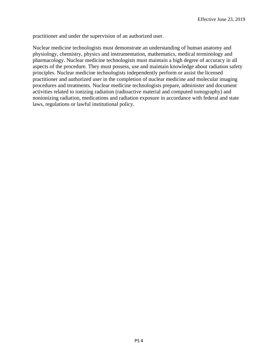practitioner and under the supervision of an authorized user.

Nuclear medicine technologists must demonstrate an understanding of human anatomy and physiology, chemistry, physics and instrumentation, mathematics, medical terminology and pharmacology. Nuclear medicine technologists must maintain a high degree of accuracy in all aspects of the procedure. They must possess, use and maintain knowledge about radiation safety principles. Nuclear medicine technologists independently perform or assist the licensed practitioner and authorized user in the completion of nuclear medicine and molecular imaging procedures and treatments. Nuclear medicine technologists prepare, administer and document activities related to ionizing radiation (radioactive material and computed tomography) and nonionizing radiation, medications and radiation exposure in accordance with federal and state laws, regulations or lawful institutional policy.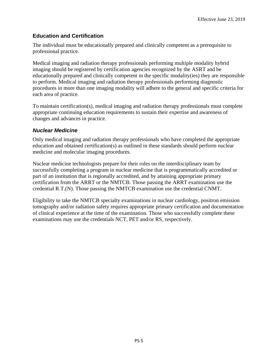# <span id="page-6-0"></span>**Education and Certification**

The individual must be educationally prepared and clinically competent as a prerequisite to professional practice.

Medical imaging and radiation therapy professionals performing multiple modality hybrid imaging should be registered by certification agencies recognized by the ASRT and be educationally prepared and clinically competent in the specific modality(ies) they are responsible to perform. Medical imaging and radiation therapy professionals performing diagnostic procedures in more than one imaging modality will adhere to the general and specific criteria for each area of practice.

To maintain certification(s), medical imaging and radiation therapy professionals must complete appropriate continuing education requirements to sustain their expertise and awareness of changes and advances in practice.

# *Nuclear Medicine*

Only medical imaging and radiation therapy professionals who have completed the appropriate education and obtained certification(s) as outlined in these standards should perform nuclear medicine and molecular imaging procedures.

Nuclear medicine technologists prepare for their roles on the interdisciplinary team by successfully completing a program in nuclear medicine that is programmatically accredited or part of an institution that is regionally accredited, and by attaining appropriate primary certification from the ARRT or the NMTCB. Those passing the ARRT examination use the credential R.T.(N). Those passing the NMTCB examination use the credential CNMT.

Eligibility to take the NMTCB specialty examinations in nuclear cardiology, positron emission tomography and/or radiation safety requires appropriate primary certification and documentation of clinical experience at the time of the examination. Those who successfully complete these examinations may use the credentials NCT, PET and/or RS, respectively.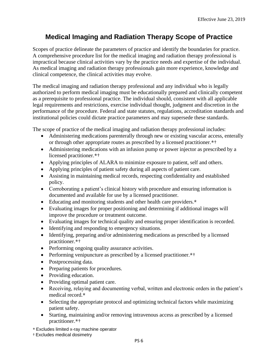# <span id="page-7-0"></span>**Medical Imaging and Radiation Therapy Scope of Practice**

Scopes of practice delineate the parameters of practice and identify the boundaries for practice. A comprehensive procedure list for the medical imaging and radiation therapy professional is impractical because clinical activities vary by the practice needs and expertise of the individual. As medical imaging and radiation therapy professionals gain more experience, knowledge and clinical competence, the clinical activities may evolve.

The medical imaging and radiation therapy professional and any individual who is legally authorized to perform medical imaging must be educationally prepared and clinically competent as a prerequisite to professional practice. The individual should, consistent with all applicable legal requirements and restrictions, exercise individual thought, judgment and discretion in the performance of the procedure. Federal and state statutes, regulations, accreditation standards and institutional policies could dictate practice parameters and may supersede these standards.

The scope of practice of the medical imaging and radiation therapy professional includes:

- Administering medications parenterally through new or existing vascular access, enterally or through other appropriate routes as prescribed by a licensed practitioner.\*†
- Administering medications with an infusion pump or power injector as prescribed by a licensed practitioner.\*†
- Applying principles of ALARA to minimize exposure to patient, self and others.
- Applying principles of patient safety during all aspects of patient care.
- Assisting in maintaining medical records, respecting confidentiality and established policy.
- Corroborating a patient's clinical history with procedure and ensuring information is documented and available for use by a licensed practitioner.
- Educating and monitoring students and other health care providers.\*
- Evaluating images for proper positioning and determining if additional images will improve the procedure or treatment outcome.
- Evaluating images for technical quality and ensuring proper identification is recorded.
- Identifying and responding to emergency situations.
- Identifying, preparing and/or administering medications as prescribed by a licensed practitioner.\*†
- Performing ongoing quality assurance activities.
- Performing venipuncture as prescribed by a licensed practitioner.\*†
- Postprocessing data.
- Preparing patients for procedures.
- Providing education.
- Providing optimal patient care.
- Receiving, relaying and documenting verbal, written and electronic orders in the patient's medical record.\*
- Selecting the appropriate protocol and optimizing technical factors while maximizing patient safety.
- Starting, maintaining and/or removing intravenous access as prescribed by a licensed practitioner.\*†
- \* Excludes limited x-ray machine operator
- † Excludes medical dosimetry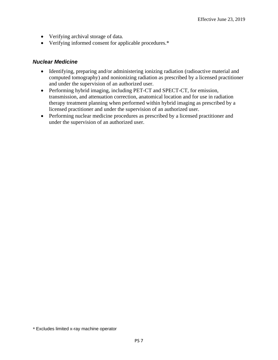- Verifying archival storage of data.
- Verifying informed consent for applicable procedures.\*

- Identifying, preparing and/or administering ionizing radiation (radioactive material and computed tomography) and nonionizing radiation as prescribed by a licensed practitioner and under the supervision of an authorized user.
- Performing hybrid imaging, including PET-CT and SPECT-CT, for emission, transmission, and attenuation correction, anatomical location and for use in radiation therapy treatment planning when performed within hybrid imaging as prescribed by a licensed practitioner and under the supervision of an authorized user.
- Performing nuclear medicine procedures as prescribed by a licensed practitioner and under the supervision of an authorized user.

<sup>\*</sup> Excludes limited x-ray machine operator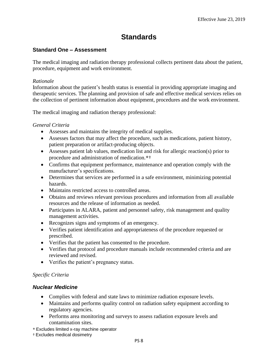# **Standards**

# <span id="page-9-1"></span><span id="page-9-0"></span>**Standard One – Assessment**

The medical imaging and radiation therapy professional collects pertinent data about the patient, procedure, equipment and work environment.

### *Rationale*

Information about the patient's health status is essential in providing appropriate imaging and therapeutic services. The planning and provision of safe and effective medical services relies on the collection of pertinent information about equipment, procedures and the work environment.

The medical imaging and radiation therapy professional:

# *General Criteria*

- Assesses and maintains the integrity of medical supplies.
- Assesses factors that may affect the procedure, such as medications, patient history, patient preparation or artifact-producing objects.
- Assesses patient lab values, medication list and risk for allergic reaction(s) prior to procedure and administration of medication.\*†
- Confirms that equipment performance, maintenance and operation comply with the manufacturer's specifications.
- Determines that services are performed in a safe environment, minimizing potential hazards.
- Maintains restricted access to controlled areas.
- Obtains and reviews relevant previous procedures and information from all available resources and the release of information as needed.
- Participates in ALARA, patient and personnel safety, risk management and quality management activities.
- Recognizes signs and symptoms of an emergency.
- Verifies patient identification and appropriateness of the procedure requested or prescribed.
- Verifies that the patient has consented to the procedure.
- Verifies that protocol and procedure manuals include recommended criteria and are reviewed and revised.
- Verifies the patient's pregnancy status.

# *Specific Criteria*

- Complies with federal and state laws to minimize radiation exposure levels.
- Maintains and performs quality control on radiation safety equipment according to regulatory agencies.
- Performs area monitoring and surveys to assess radiation exposure levels and contamination sites.
- \* Excludes limited x-ray machine operator
- † Excludes medical dosimetry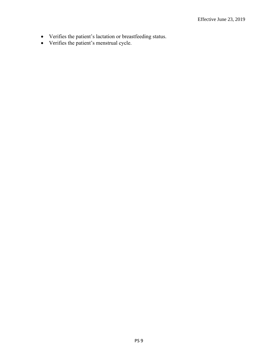- Verifies the patient's lactation or breastfeeding status.
- Verifies the patient's menstrual cycle.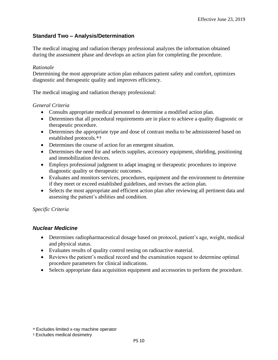# <span id="page-11-0"></span>**Standard Two – Analysis/Determination**

The medical imaging and radiation therapy professional analyzes the information obtained during the assessment phase and develops an action plan for completing the procedure.

#### *Rationale*

Determining the most appropriate action plan enhances patient safety and comfort, optimizes diagnostic and therapeutic quality and improves efficiency.

The medical imaging and radiation therapy professional:

#### *General Criteria*

- Consults appropriate medical personnel to determine a modified action plan.
- Determines that all procedural requirements are in place to achieve a quality diagnostic or therapeutic procedure.
- Determines the appropriate type and dose of contrast media to be administered based on established protocols.\*†
- Determines the course of action for an emergent situation.
- Determines the need for and selects supplies, accessory equipment, shielding, positioning and immobilization devices.
- Employs professional judgment to adapt imaging or therapeutic procedures to improve diagnostic quality or therapeutic outcomes.
- Evaluates and monitors services, procedures, equipment and the environment to determine if they meet or exceed established guidelines, and revises the action plan.
- Selects the most appropriate and efficient action plan after reviewing all pertinent data and assessing the patient's abilities and condition.

#### *Specific Criteria*

- Determines radiopharmaceutical dosage based on protocol, patient's age, weight, medical and physical status.
- Evaluates results of quality control testing on radioactive material.
- Reviews the patient's medical record and the examination request to determine optimal procedure parameters for clinical indications.
- Selects appropriate data acquisition equipment and accessories to perform the procedure.

<sup>\*</sup> Excludes limited x-ray machine operator

<sup>†</sup> Excludes medical dosimetry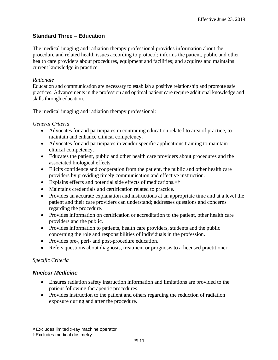### <span id="page-12-0"></span>**Standard Three – Education**

The medical imaging and radiation therapy professional provides information about the procedure and related health issues according to protocol; informs the patient, public and other health care providers about procedures, equipment and facilities; and acquires and maintains current knowledge in practice.

#### *Rationale*

Education and communication are necessary to establish a positive relationship and promote safe practices. Advancements in the profession and optimal patient care require additional knowledge and skills through education.

The medical imaging and radiation therapy professional:

#### *General Criteria*

- Advocates for and participates in continuing education related to area of practice, to maintain and enhance clinical competency.
- Advocates for and participates in vendor specific applications training to maintain clinical competency.
- Educates the patient, public and other health care providers about procedures and the associated biological effects.
- Elicits confidence and cooperation from the patient, the public and other health care providers by providing timely communication and effective instruction.
- Explains effects and potential side effects of medications.\*†
- Maintains credentials and certification related to practice.
- Provides an accurate explanation and instructions at an appropriate time and at a level the patient and their care providers can understand; addresses questions and concerns regarding the procedure.
- Provides information on certification or accreditation to the patient, other health care providers and the public.
- Provides information to patients, health care providers, students and the public concerning the role and responsibilities of individuals in the profession.
- Provides pre-, peri- and post-procedure education.
- Refers questions about diagnosis, treatment or prognosis to a licensed practitioner.

#### *Specific Criteria*

#### *Nuclear Medicine*

- Ensures radiation safety instruction information and limitations are provided to the patient following therapeutic procedures.
- Provides instruction to the patient and others regarding the reduction of radiation exposure during and after the procedure.

\* Excludes limited x-ray machine operator

† Excludes medical dosimetry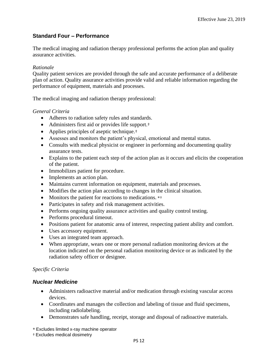# <span id="page-13-0"></span>**Standard Four – Performance**

The medical imaging and radiation therapy professional performs the action plan and quality assurance activities.

### *Rationale*

Quality patient services are provided through the safe and accurate performance of a deliberate plan of action. Quality assurance activities provide valid and reliable information regarding the performance of equipment, materials and processes.

The medical imaging and radiation therapy professional:

# *General Criteria*

- Adheres to radiation safety rules and standards.
- Administers first aid or provides life support.<sup>†</sup>
- Applies principles of aseptic technique.<sup>†</sup>
- Assesses and monitors the patient's physical, emotional and mental status.
- Consults with medical physicist or engineer in performing and documenting quality assurance tests.
- Explains to the patient each step of the action plan as it occurs and elicits the cooperation of the patient.
- Immobilizes patient for procedure.
- Implements an action plan.
- Maintains current information on equipment, materials and processes.
- Modifies the action plan according to changes in the clinical situation.
- Monitors the patient for reactions to medications. \*\*
- Participates in safety and risk management activities.
- Performs ongoing quality assurance activities and quality control testing.
- Performs procedural timeout.
- Positions patient for anatomic area of interest, respecting patient ability and comfort.
- Uses accessory equipment.
- Uses an integrated team approach.
- When appropriate, wears one or more personal radiation monitoring devices at the location indicated on the personal radiation monitoring device or as indicated by the radiation safety officer or designee.

# *Specific Criteria*

#### *Nuclear Medicine*

- Administers radioactive material and/or medication through existing vascular access devices.
- Coordinates and manages the collection and labeling of tissue and fluid specimens, including radiolabeling.
- Demonstrates safe handling, receipt, storage and disposal of radioactive materials.

\* Excludes limited x-ray machine operator

† Excludes medical dosimetry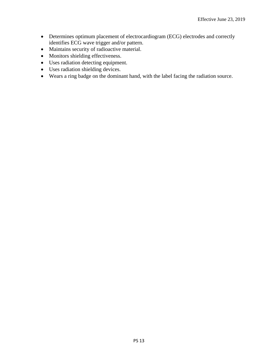- Determines optimum placement of electrocardiogram (ECG) electrodes and correctly identifies ECG wave trigger and/or pattern.
- Maintains security of radioactive material.
- Monitors shielding effectiveness.
- Uses radiation detecting equipment.
- Uses radiation shielding devices.
- Wears a ring badge on the dominant hand, with the label facing the radiation source.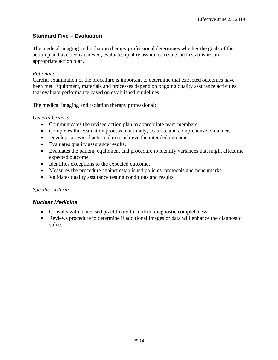# <span id="page-15-0"></span>**Standard Five – Evaluation**

The medical imaging and radiation therapy professional determines whether the goals of the action plan have been achieved, evaluates quality assurance results and establishes an appropriate action plan.

#### *Rationale*

Careful examination of the procedure is important to determine that expected outcomes have been met. Equipment, materials and processes depend on ongoing quality assurance activities that evaluate performance based on established guidelines.

The medical imaging and radiation therapy professional:

# *General Criteria*

- Communicates the revised action plan to appropriate team members.
- Completes the evaluation process in a timely, accurate and comprehensive manner.
- Develops a revised action plan to achieve the intended outcome.
- Evaluates quality assurance results.
- Evaluates the patient, equipment and procedure to identify variances that might affect the expected outcome.
- Identifies exceptions to the expected outcome.
- Measures the procedure against established policies, protocols and benchmarks.
- Validates quality assurance testing conditions and results.

# *Specific Criteria*

- Consults with a licensed practitioner to confirm diagnostic completeness.
- Reviews procedure to determine if additional images or data will enhance the diagnostic value.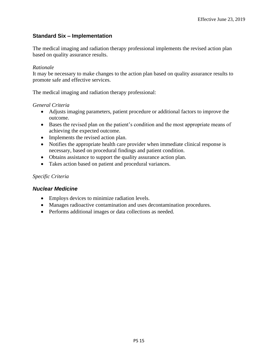# <span id="page-16-0"></span>**Standard Six – Implementation**

The medical imaging and radiation therapy professional implements the revised action plan based on quality assurance results.

#### *Rationale*

It may be necessary to make changes to the action plan based on quality assurance results to promote safe and effective services.

The medical imaging and radiation therapy professional:

#### *General Criteria*

- Adjusts imaging parameters, patient procedure or additional factors to improve the outcome.
- Bases the revised plan on the patient's condition and the most appropriate means of achieving the expected outcome.
- Implements the revised action plan.
- Notifies the appropriate health care provider when immediate clinical response is necessary, based on procedural findings and patient condition.
- Obtains assistance to support the quality assurance action plan.
- Takes action based on patient and procedural variances.

#### *Specific Criteria*

- Employs devices to minimize radiation levels.
- Manages radioactive contamination and uses decontamination procedures.
- Performs additional images or data collections as needed.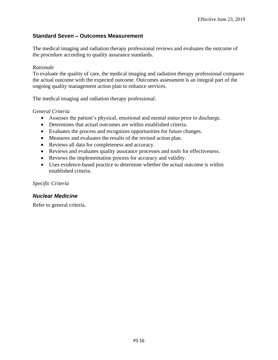# <span id="page-17-0"></span>**Standard Seven – Outcomes Measurement**

The medical imaging and radiation therapy professional reviews and evaluates the outcome of the procedure according to quality assurance standards.

#### *Rationale*

To evaluate the quality of care, the medical imaging and radiation therapy professional compares the actual outcome with the expected outcome. Outcomes assessment is an integral part of the ongoing quality management action plan to enhance services.

The medical imaging and radiation therapy professional:

#### *General Criteria*

- Assesses the patient's physical, emotional and mental status prior to discharge.
- Determines that actual outcomes are within established criteria.
- Evaluates the process and recognizes opportunities for future changes.
- Measures and evaluates the results of the revised action plan.
- Reviews all data for completeness and accuracy.
- Reviews and evaluates quality assurance processes and tools for effectiveness.
- Reviews the implementation process for accuracy and validity.
- Uses evidence-based practice to determine whether the actual outcome is within established criteria.

#### *Specific Criteria*

#### *Nuclear Medicine*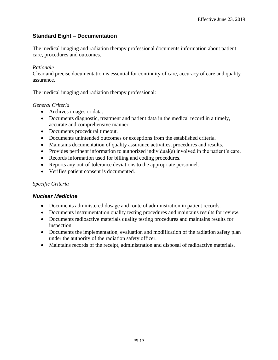# <span id="page-18-0"></span>**Standard Eight – Documentation**

The medical imaging and radiation therapy professional documents information about patient care, procedures and outcomes.

#### *Rationale*

Clear and precise documentation is essential for continuity of care, accuracy of care and quality assurance.

The medical imaging and radiation therapy professional:

#### *General Criteria*

- Archives images or data.
- Documents diagnostic, treatment and patient data in the medical record in a timely, accurate and comprehensive manner.
- Documents procedural timeout.
- Documents unintended outcomes or exceptions from the established criteria.
- Maintains documentation of quality assurance activities, procedures and results.
- Provides pertinent information to authorized individual(s) involved in the patient's care.
- Records information used for billing and coding procedures.
- Reports any out-of-tolerance deviations to the appropriate personnel.
- Verifies patient consent is documented.

#### *Specific Criteria*

- Documents administered dosage and route of administration in patient records.
- Documents instrumentation quality testing procedures and maintains results for review.
- Documents radioactive materials quality testing procedures and maintains results for inspection.
- Documents the implementation, evaluation and modification of the radiation safety plan under the authority of the radiation safety officer.
- Maintains records of the receipt, administration and disposal of radioactive materials.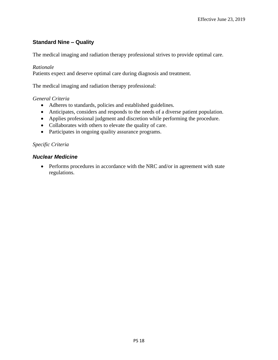# <span id="page-19-0"></span>**Standard Nine – Quality**

The medical imaging and radiation therapy professional strives to provide optimal care.

#### *Rationale*

Patients expect and deserve optimal care during diagnosis and treatment.

The medical imaging and radiation therapy professional:

#### *General Criteria*

- Adheres to standards, policies and established guidelines.
- Anticipates, considers and responds to the needs of a diverse patient population.
- Applies professional judgment and discretion while performing the procedure.
- Collaborates with others to elevate the quality of care.
- Participates in ongoing quality assurance programs.

#### *Specific Criteria*

#### *Nuclear Medicine*

• Performs procedures in accordance with the NRC and/or in agreement with state regulations.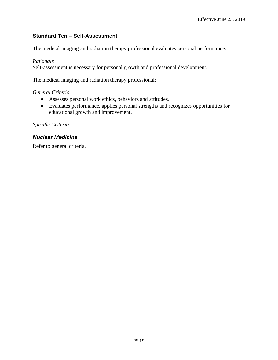# <span id="page-20-0"></span>**Standard Ten – Self-Assessment**

The medical imaging and radiation therapy professional evaluates personal performance.

#### *Rationale*

Self-assessment is necessary for personal growth and professional development.

The medical imaging and radiation therapy professional:

# *General Criteria*

- Assesses personal work ethics, behaviors and attitudes.
- Evaluates performance, applies personal strengths and recognizes opportunities for educational growth and improvement.

*Specific Criteria*

# *Nuclear Medicine*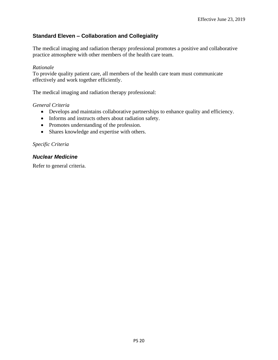# <span id="page-21-0"></span>**Standard Eleven – Collaboration and Collegiality**

The medical imaging and radiation therapy professional promotes a positive and collaborative practice atmosphere with other members of the health care team.

#### *Rationale*

To provide quality patient care, all members of the health care team must communicate effectively and work together efficiently.

The medical imaging and radiation therapy professional:

#### *General Criteria*

- Develops and maintains collaborative partnerships to enhance quality and efficiency.
- Informs and instructs others about radiation safety.
- Promotes understanding of the profession.
- Shares knowledge and expertise with others.

#### *Specific Criteria*

#### *Nuclear Medicine*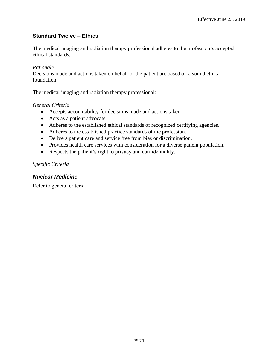# <span id="page-22-0"></span>**Standard Twelve – Ethics**

The medical imaging and radiation therapy professional adheres to the profession's accepted ethical standards.

#### *Rationale*

Decisions made and actions taken on behalf of the patient are based on a sound ethical foundation.

The medical imaging and radiation therapy professional:

#### *General Criteria*

- Accepts accountability for decisions made and actions taken.
- Acts as a patient advocate.
- Adheres to the established ethical standards of recognized certifying agencies.
- Adheres to the established practice standards of the profession.
- Delivers patient care and service free from bias or discrimination.
- Provides health care services with consideration for a diverse patient population.
- Respects the patient's right to privacy and confidentiality.

#### *Specific Criteria*

#### *Nuclear Medicine*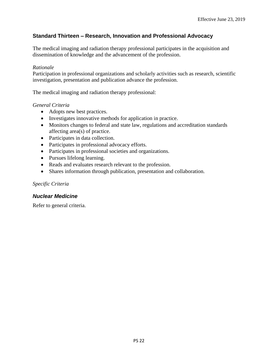# <span id="page-23-0"></span>**Standard Thirteen – Research, Innovation and Professional Advocacy**

The medical imaging and radiation therapy professional participates in the acquisition and dissemination of knowledge and the advancement of the profession.

#### *Rationale*

Participation in professional organizations and scholarly activities such as research, scientific investigation, presentation and publication advance the profession.

The medical imaging and radiation therapy professional:

#### *General Criteria*

- Adopts new best practices.
- Investigates innovative methods for application in practice.
- Monitors changes to federal and state law, regulations and accreditation standards affecting area(s) of practice.
- Participates in data collection.
- Participates in professional advocacy efforts.
- Participates in professional societies and organizations.
- Pursues lifelong learning.
- Reads and evaluates research relevant to the profession.
- Shares information through publication, presentation and collaboration.

#### *Specific Criteria*

#### *Nuclear Medicine*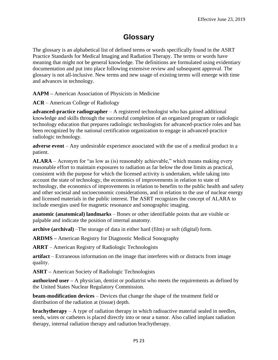# **Glossary**

<span id="page-24-0"></span>The glossary is an alphabetical list of defined terms or words specifically found in the ASRT Practice Standards for Medical Imaging and Radiation Therapy. The terms or words have meaning that might not be general knowledge. The definitions are formulated using evidentiary documentation and put into place following extensive review and subsequent approval. The glossary is not all-inclusive. New terms and new usage of existing terms will emerge with time and advances in technology.

**AAPM –** American Association of Physicists in Medicine

**ACR** – American College of Radiology

**advanced-practice radiographer** – A registered technologist who has gained additional knowledge and skills through the successful completion of an organized program or radiologic technology education that prepares radiologic technologists for advanced-practice roles and has been recognized by the national certification organization to engage in advanced-practice radiologic technology.

**adverse event** – Any undesirable experience associated with the use of a medical product in a patient.

**ALARA** – Acronym for "as low as (is) reasonably achievable," which means making every reasonable effort to maintain exposures to radiation as far below the dose limits as practical, consistent with the purpose for which the licensed activity is undertaken, while taking into account the state of technology, the economics of improvements in relation to state of technology, the economics of improvements in relation to benefits to the public health and safety and other societal and socioeconomic considerations, and in relation to the use of nuclear energy and licensed materials in the public interest. The ASRT recognizes the concept of ALARA to include energies used for magnetic resonance and sonographic imaging.

**anatomic (anatomical) landmarks** – Bones or other identifiable points that are visible or palpable and indicate the position of internal anatomy.

**archive (archival)** –The storage of data in either hard (film) or soft (digital) form.

**ARDMS –** American Registry for Diagnostic Medical Sonography

**ARRT** – American Registry of Radiologic Technologists

**artifact** – Extraneous information on the image that interferes with or distracts from image quality.

**ASRT –** American Society of Radiologic Technologists

**authorized user** – A physician, dentist or podiatrist who meets the requirements as defined by the United States Nuclear Regulatory Commission.

**beam-modification devices** – Devices that change the shape of the treatment field or distribution of the radiation at (tissue) depth.

**brachytherapy** – A type of radiation therapy in which radioactive material sealed in needles, seeds, wires or catheters is placed directly into or near a tumor. Also called implant radiation therapy, internal radiation therapy and radiation brachytherapy.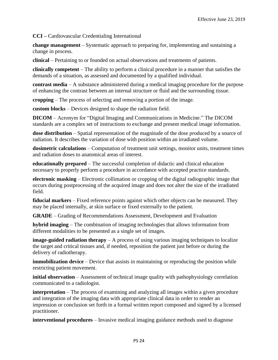**CCI –** Cardiovascular Credentialing International

**change management** – Systematic approach to preparing for, implementing and sustaining a change in process.

**clinical** – Pertaining to or founded on actual observations and treatments of patients.

**clinically competent** – The ability to perform a clinical procedure in a manner that satisfies the demands of a situation, as assessed and documented by a qualified individual.

**contrast media** – A substance administered during a medical imaging procedure for the purpose of enhancing the contrast between an internal structure or fluid and the surrounding tissue.

**cropping** – The process of selecting and removing a portion of the image.

**custom blocks** – Devices designed to shape the radiation field.

**DICOM** – Acronym for "Digital Imaging and Communications in Medicine." The DICOM standards are a complex set of instructions to exchange and present medical image information.

**dose distribution** – Spatial representation of the magnitude of the dose produced by a source of radiation. It describes the variation of dose with position within an irradiated volume.

**dosimetric calculations** – Computation of treatment unit settings, monitor units, treatment times and radiation doses to anatomical areas of interest.

**educationally prepared** – The successful completion of didactic and clinical education necessary to properly perform a procedure in accordance with accepted practice standards.

**electronic masking** – Electronic collimation or cropping of the digital radiographic image that occurs during postprocessing of the acquired image and does not alter the size of the irradiated field.

**fiducial markers** – Fixed reference points against which other objects can be measured. They may be placed internally, at skin surface or fixed externally to the patient.

**GRADE** – Grading of Recommendations Assessment, Development and Evaluation

**hybrid imaging** – The combination of imaging technologies that allows information from different modalities to be presented as a single set of images.

**image-guided radiation therapy** – A process of using various imaging techniques to localize the target and critical tissues and, if needed, reposition the patient just before or during the delivery of radiotherapy.

**immobilization device** – Device that assists in maintaining or reproducing the position while restricting patient movement.

**initial observation** – Assessment of technical image quality with pathophysiology correlation communicated to a radiologist.

**interpretation** – The process of examining and analyzing all images within a given procedure and integration of the imaging data with appropriate clinical data in order to render an impression or conclusion set forth in a formal written report composed and signed by a licensed practitioner.

**interventional procedures** – Invasive medical imaging guidance methods used to diagnose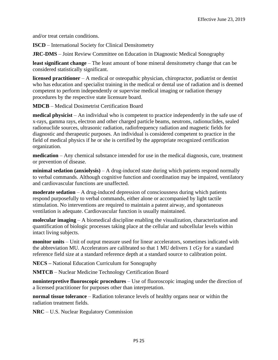and/or treat certain conditions.

**ISCD** – International Society for Clinical Densitometry

**JRC-DMS** – Joint Review Committee on Education in Diagnostic Medical Sonography

**least significant change** – The least amount of bone mineral densitometry change that can be considered statistically significant.

**licensed practitioner** – A medical or osteopathic physician, chiropractor, podiatrist or dentist who has education and specialist training in the medical or dental use of radiation and is deemed competent to perform independently or supervise medical imaging or radiation therapy procedures by the respective state licensure board.

**MDCB** – Medical Dosimetrist Certification Board

**medical physicist** – An individual who is competent to practice independently in the safe use of x-rays, gamma rays, electron and other charged particle beams, neutrons, radionuclides, sealed radionuclide sources, ultrasonic radiation, radiofrequency radiation and magnetic fields for diagnostic and therapeutic purposes. An individual is considered competent to practice in the field of medical physics if he or she is certified by the appropriate recognized certification organization.

**medication** – Any chemical substance intended for use in the medical diagnosis, cure, treatment or prevention of disease.

**minimal sedation (anxiolysis)** – A drug-induced state during which patients respond normally to verbal commands. Although cognitive function and coordination may be impaired, ventilatory and cardiovascular functions are unaffected.

**moderate sedation** – A drug-induced depression of consciousness during which patients respond purposefully to verbal commands, either alone or accompanied by light tactile stimulation. No interventions are required to maintain a patent airway, and spontaneous ventilation is adequate. Cardiovascular function is usually maintained.

**molecular imaging** – A biomedical discipline enabling the visualization, characterization and quantification of biologic processes taking place at the cellular and subcellular levels within intact living subjects.

**monitor units** – Unit of output measure used for linear accelerators, sometimes indicated with the abbreviation MU. Accelerators are calibrated so that 1 MU delivers 1 cGy for a standard reference field size at a standard reference depth at a standard source to calibration point.

**NECS –** National Education Curriculum for Sonography

**NMTCB** – Nuclear Medicine Technology Certification Board

**noninterpretive fluoroscopic procedures** – Use of fluoroscopic imaging under the direction of a licensed practitioner for purposes other than interpretation.

**normal tissue tolerance** – Radiation tolerance levels of healthy organs near or within the radiation treatment fields.

**NRC** – U.S. Nuclear Regulatory Commission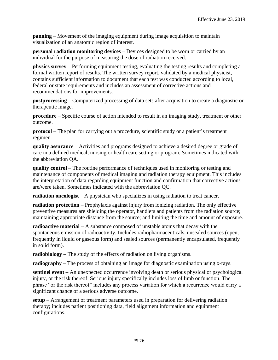**panning** – Movement of the imaging equipment during image acquisition to maintain visualization of an anatomic region of interest.

**personal radiation monitoring devices** – Devices designed to be worn or carried by an individual for the purpose of measuring the dose of radiation received.

**physics survey** – Performing equipment testing, evaluating the testing results and completing a formal written report of results. The written survey report, validated by a medical physicist, contains sufficient information to document that each test was conducted according to local, federal or state requirements and includes an assessment of corrective actions and recommendations for improvements.

**postprocessing** – Computerized processing of data sets after acquisition to create a diagnostic or therapeutic image.

**procedure** – Specific course of action intended to result in an imaging study, treatment or other outcome.

**protocol** – The plan for carrying out a procedure, scientific study or a patient's treatment regimen.

**quality assurance** – Activities and programs designed to achieve a desired degree or grade of care in a defined medical, nursing or health care setting or program. Sometimes indicated with the abbreviation QA.

**quality control** – The routine performance of techniques used in monitoring or testing and maintenance of components of medical imaging and radiation therapy equipment. This includes the interpretation of data regarding equipment function and confirmation that corrective actions are/were taken. Sometimes indicated with the abbreviation QC.

**radiation oncologist** – A physician who specializes in using radiation to treat cancer.

**radiation protection** – Prophylaxis against injury from ionizing radiation. The only effective preventive measures are shielding the operator, handlers and patients from the radiation source; maintaining appropriate distance from the source; and limiting the time and amount of exposure.

**radioactive material** – A substance composed of unstable atoms that decay with the spontaneous emission of radioactivity. Includes radiopharmaceuticals, unsealed sources (open, frequently in liquid or gaseous form) and sealed sources (permanently encapsulated, frequently in solid form).

**radiobiology** – The study of the effects of radiation on living organisms.

**radiography** – The process of obtaining an image for diagnostic examination using x-rays.

**sentinel event** – An unexpected occurrence involving death or serious physical or psychological injury, or the risk thereof. Serious injury specifically includes loss of limb or function. The phrase "or the risk thereof" includes any process variation for which a recurrence would carry a significant chance of a serious adverse outcome.

**setup** – Arrangement of treatment parameters used in preparation for delivering radiation therapy; includes patient positioning data, field alignment information and equipment configurations.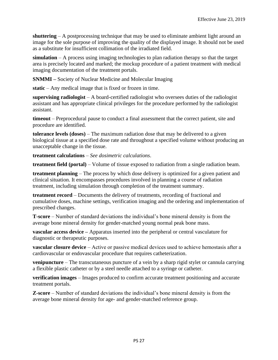**shuttering** – A postprocessing technique that may be used to eliminate ambient light around an image for the sole purpose of improving the quality of the displayed image. It should not be used as a substitute for insufficient collimation of the irradiated field.

**simulation** – A process using imaging technologies to plan radiation therapy so that the target area is precisely located and marked; the mockup procedure of a patient treatment with medical imaging documentation of the treatment portals.

**SNMMI –** Society of Nuclear Medicine and Molecular Imaging

**static** – Any medical image that is fixed or frozen in time.

**supervising radiologist** – A board-certified radiologist who oversees duties of the radiologist assistant and has appropriate clinical privileges for the procedure performed by the radiologist assistant.

**timeout** – Preprocedural pause to conduct a final assessment that the correct patient, site and procedure are identified.

**tolerance levels (doses)** – The maximum radiation dose that may be delivered to a given biological tissue at a specified dose rate and throughout a specified volume without producing an unacceptable change in the tissue.

**treatment calculations** – *See dosimetric calculations*.

**treatment field (portal)** – Volume of tissue exposed to radiation from a single radiation beam.

**treatment planning** – The process by which dose delivery is optimized for a given patient and clinical situation. It encompasses procedures involved in planning a course of radiation treatment, including simulation through completion of the treatment summary.

**treatment record** – Documents the delivery of treatments, recording of fractional and cumulative doses, machine settings, verification imaging and the ordering and implementation of prescribed changes.

**T-score** – Number of standard deviations the individual's bone mineral density is from the average bone mineral density for gender-matched young normal peak bone mass.

**vascular access device –** Apparatus inserted into the peripheral or central vasculature for diagnostic or therapeutic purposes.

**vascular closure device** – Active or passive medical devices used to achieve hemostasis after a cardiovascular or endovascular procedure that requires catheterization.

**venipuncture** – The transcutaneous puncture of a vein by a sharp rigid stylet or cannula carrying a flexible plastic catheter or by a steel needle attached to a syringe or catheter.

**verification images** – Images produced to confirm accurate treatment positioning and accurate treatment portals.

**Z-score** – Number of standard deviations the individual's bone mineral density is from the average bone mineral density for age- and gender-matched reference group.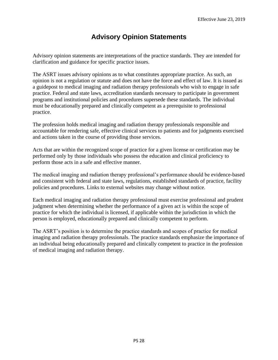# **Advisory Opinion Statements**

<span id="page-29-0"></span>Advisory opinion statements are interpretations of the practice standards. They are intended for clarification and guidance for specific practice issues.

The ASRT issues advisory opinions as to what constitutes appropriate practice. As such, an opinion is not a regulation or statute and does not have the force and effect of law. It is issued as a guidepost to medical imaging and radiation therapy professionals who wish to engage in safe practice. Federal and state laws, accreditation standards necessary to participate in government programs and institutional policies and procedures supersede these standards. The individual must be educationally prepared and clinically competent as a prerequisite to professional practice.

The profession holds medical imaging and radiation therapy professionals responsible and accountable for rendering safe, effective clinical services to patients and for judgments exercised and actions taken in the course of providing those services.

Acts that are within the recognized scope of practice for a given license or certification may be performed only by those individuals who possess the education and clinical proficiency to perform those acts in a safe and effective manner.

The medical imaging and radiation therapy professional's performance should be evidence-based and consistent with federal and state laws, regulations, established standards of practice, facility policies and procedures. Links to external websites may change without notice.

Each medical imaging and radiation therapy professional must exercise professional and prudent judgment when determining whether the performance of a given act is within the scope of practice for which the individual is licensed, if applicable within the jurisdiction in which the person is employed, educationally prepared and clinically competent to perform.

The ASRT's position is to determine the practice standards and scopes of practice for medical imaging and radiation therapy professionals. The practice standards emphasize the importance of an individual being educationally prepared and clinically competent to practice in the profession of medical imaging and radiation therapy.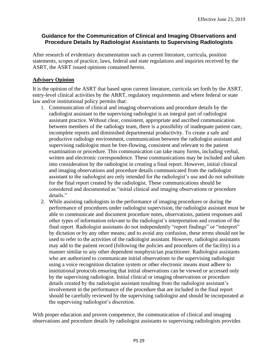### <span id="page-30-0"></span>**Guidance for the Communication of Clinical and Imaging Observations and Procedure Details by Radiologist Assistants to Supervising Radiologists**

After research of evidentiary documentation such as current literature, curricula, position statements, scopes of practice, laws, federal and state regulations and inquiries received by the ASRT, the ASRT issued opinions contained herein.

#### **Advisory Opinion**

It is the opinion of the ASRT that based upon current literature, curricula set forth by the ASRT, entry-level clinical activities by the ARRT, regulatory requirements and where federal or state law and/or institutional policy permits that:

- 1. Communication of clinical and imaging observations and procedure details by the radiologist assistant to the supervising radiologist is an integral part of radiologist assistant practice. Without clear, consistent, appropriate and ascribed communication between members of the radiology team, there is a possibility of inadequate patient care, incomplete reports and diminished departmental productivity. To create a safe and productive radiology environment, communication between the radiologist assistant and supervising radiologist must be free-flowing, consistent and relevant to the patient examination or procedure. This communication can take many forms, including verbal, written and electronic correspondence. These communications may be included and taken into consideration by the radiologist in creating a final report. However, initial clinical and imaging observations and procedure details communicated from the radiologist assistant to the radiologist are only intended for the radiologist's use and do not substitute for the final report created by the radiologist. These communications should be considered and documented as "initial clinical and imaging observations or procedure details."
- 2. While assisting radiologists in the performance of imaging procedures or during the performance of procedures under radiologist supervision, the radiologist assistant must be able to communicate and document procedure notes, observations, patient responses and other types of information relevant to the radiologist's interpretation and creation of the final report. Radiologist assistants do not independently "report findings" or "interpret" by dictation or by any other means; and to avoid any confusion, these terms should not be used to refer to the activities of the radiologist assistant. However, radiologist assistants may add to the patient record (following the policies and procedures of the facility) in a manner similar to any other dependent nonphysician practitioner. Radiologist assistants who are authorized to communicate initial observations to the supervising radiologist using a voice recognition dictation system or other electronic means must adhere to institutional protocols ensuring that initial observations can be viewed or accessed only by the supervising radiologist. Initial clinical or imaging observations or procedure details created by the radiologist assistant resulting from the radiologist assistant's involvement in the performance of the procedure that are included in the final report should be carefully reviewed by the supervising radiologist and should be incorporated at the supervising radiologist's discretion.

With proper education and proven competence, the communication of clinical and imaging observations and procedure details by radiologist assistants to supervising radiologists provides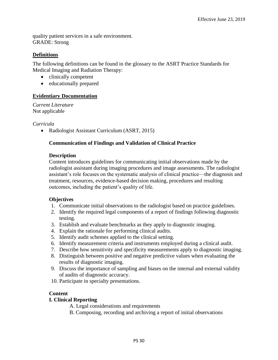quality patient services in a safe environment. GRADE: Strong

### **Definitions**

The following definitions can be found in the glossary to the ASRT Practice Standards for Medical Imaging and Radiation Therapy:

- clinically competent
- educationally prepared

# **Evidentiary Documentation**

*Current Literature* Not applicable

#### *Curricula*

• Radiologist Assistant Curriculum (ASRT, 2015)

#### **Communication of Findings and Validation of Clinical Practice**

#### **Description**

Content introduces guidelines for communicating initial observations made by the radiologist assistant during imaging procedures and image assessments. The radiologist assistant's role focuses on the systematic analysis of clinical practice—the diagnosis and treatment, resources, evidence-based decision making, procedures and resulting outcomes, including the patient's quality of life.

#### **Objectives**

- 1. Communicate initial observations to the radiologist based on practice guidelines.
- 2. Identify the required legal components of a report of findings following diagnostic testing.
- 3. Establish and evaluate benchmarks as they apply to diagnostic imaging.
- 4. Explain the rationale for performing clinical audits.
- 5. Identify audit schemes applied to the clinical setting.
- 6. Identify measurement criteria and instruments employed during a clinical audit.
- 7. Describe how sensitivity and specificity measurements apply to diagnostic imaging.
- 8. Distinguish between positive and negative predictive values when evaluating the results of diagnostic imaging.
- 9. Discuss the importance of sampling and biases on the internal and external validity of audits of diagnostic accuracy.
- 10. Participate in specialty presentations.

#### **Content**

#### **I. Clinical Reporting**

- A. Legal considerations and requirements
- B. Composing, recording and archiving a report of initial observations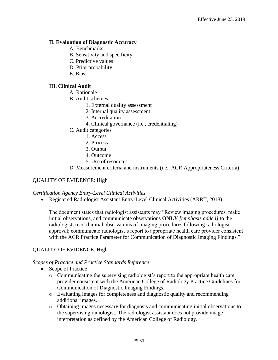#### **II. Evaluation of Diagnostic Accuracy**

- A. Benchmarks
- B. Sensitivity and specificity
- C. Predictive values
- D. Prior probability
- E. Bias

#### **III. Clinical Audit**

- A. Rationale
- B. Audit schemes
	- 1. External quality assessment
	- 2. Internal quality assessment
	- 3. Accreditation
	- 4. Clinical governance (i.e., credentialing)
- C. Audit categories
	- 1. Access
	- 2. Process
	- 3. Output
	- 4. Outcome
	- 5. Use of resources
- D. Measurement criteria and instruments (i.e., ACR Appropriateness Criteria)

#### QUALITY OF EVIDENCE: High

#### *Certification Agency Entry-Level Clinical Activities*

• Registered Radiologist Assistant Entry-Level Clinical Activities (ARRT, 2018)

The document states that radiologist assistants may "Review imaging procedures, make initial observations, and communicate observations **ONLY** *[emphasis added]* to the radiologist; record initial observations of imaging procedures following radiologist approval; communicate radiologist's report to appropriate health care provider consistent with the ACR Practice Parameter for Communication of Diagnostic Imaging Findings*.*"

#### QUALITY OF EVIDENCE: High

#### *Scopes of Practice and Practice Standards Reference*

- Scope of Practice
	- o Communicating the supervising radiologist's report to the appropriate health care provider consistent with the American College of Radiology Practice Guidelines for Communication of Diagnostic Imaging Findings.
	- o Evaluating images for completeness and diagnostic quality and recommending additional images.
	- o Obtaining images necessary for diagnosis and communicating initial observations to the supervising radiologist. The radiologist assistant does not provide image interpretation as defined by the American College of Radiology.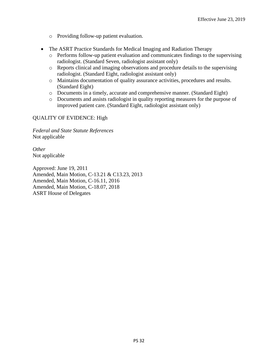- o Providing follow-up patient evaluation.
- The ASRT Practice Standards for Medical Imaging and Radiation Therapy
	- o Performs follow-up patient evaluation and communicates findings to the supervising radiologist. (Standard Seven, radiologist assistant only)
	- o Reports clinical and imaging observations and procedure details to the supervising radiologist. (Standard Eight, radiologist assistant only)
	- o Maintains documentation of quality assurance activities, procedures and results. (Standard Eight)
	- o Documents in a timely, accurate and comprehensive manner. (Standard Eight)
	- o Documents and assists radiologist in quality reporting measures for the purpose of improved patient care. (Standard Eight, radiologist assistant only)

#### QUALITY OF EVIDENCE: High

*Federal and State Statute References* Not applicable

*Other* Not applicable

Approved: June 19, 2011 Amended, Main Motion, C-13.21 & C13.23, 2013 Amended, Main Motion, C-16.11, 2016 Amended, Main Motion, C-18.07, 2018 ASRT House of Delegates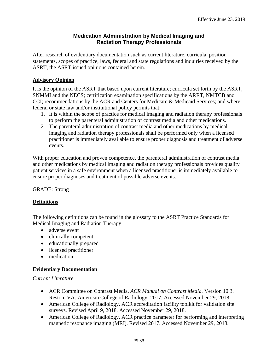# **Medication Administration by Medical Imaging and Radiation Therapy Professionals**

<span id="page-34-0"></span>After research of evidentiary documentation such as current literature, curricula, position statements, scopes of practice, laws, federal and state regulations and inquiries received by the ASRT, the ASRT issued opinions contained herein.

# **Advisory Opinion**

It is the opinion of the ASRT that based upon current literature; curricula set forth by the ASRT, SNMMI and the NECS; certification examination specifications by the ARRT, NMTCB and CCI; recommendations by the ACR and Centers for Medicare & Medicaid Services; and where federal or state law and/or institutional policy permits that:

- 1. It is within the scope of practice for medical imaging and radiation therapy professionals to perform the parenteral administration of contrast media and other medications.
- 2. The parenteral administration of contrast media and other medications by medical imaging and radiation therapy professionals shall be performed only when a licensed practitioner is immediately available to ensure proper diagnosis and treatment of adverse events.

With proper education and proven competence, the parenteral administration of contrast media and other medications by medical imaging and radiation therapy professionals provides quality patient services in a safe environment when a licensed practitioner is immediately available to ensure proper diagnoses and treatment of possible adverse events.

GRADE: Strong

#### **Definitions**

The following definitions can be found in the glossary to the ASRT Practice Standards for Medical Imaging and Radiation Therapy:

- adverse event
- clinically competent
- educationally prepared
- licensed practitioner
- medication

#### **Evidentiary Documentation**

#### *Current Literature*

- ACR Committee on Contrast Media. *ACR Manual on Contrast Media.* Version 10.3. Reston, VA: American College of Radiology; 2017. Accessed November 29, 2018.
- American College of Radiology. ACR accreditation facility toolkit for validation site surveys. Revised April 9, 2018. Accessed November 29, 2018.
- American College of Radiology. ACR practice parameter for performing and interpreting magnetic resonance imaging (MRI). Revised 2017. Accessed November 29, 2018.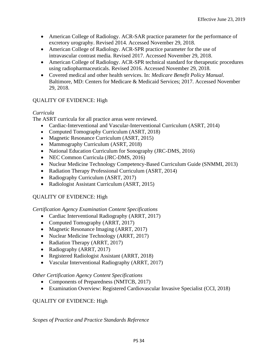- American College of Radiology. ACR-SAR practice parameter for the performance of excretory urography. Revised 2014. Accessed November 29, 2018.
- American College of Radiology. ACR-SPR practice parameter for the use of intravascular contrast media. Revised 2017. Accessed November 29, 2018.
- American College of Radiology. ACR-SPR technical standard for therapeutic procedures using radiopharmaceuticals. Revised 2016. Accessed November 29, 2018.
- Covered medical and other health services. In: *Medicare Benefit Policy Manual*. Baltimore, MD: Centers for Medicare & Medicaid Services; 2017. Accessed November 29, 2018.

# QUALITY OF EVIDENCE: High

# *Curricula*

The ASRT curricula for all practice areas were reviewed.

- Cardiac-Interventional and Vascular-Interventional Curriculum (ASRT, 2014)
- Computed Tomography Curriculum (ASRT, 2018)
- Magnetic Resonance Curriculum (ASRT, 2015)
- Mammography Curriculum (ASRT, 2018)
- National Education Curriculum for Sonography (JRC-DMS, 2016)
- NEC Common Curricula (JRC-DMS, 2016)
- Nuclear Medicine Technology Competency-Based Curriculum Guide (SNMMI, 2013)
- Radiation Therapy Professional Curriculum (ASRT, 2014)
- Radiography Curriculum (ASRT, 2017)
- Radiologist Assistant Curriculum (ASRT, 2015)

# QUALITY OF EVIDENCE: High

*Certification Agency Examination Content Specifications*

- Cardiac Interventional Radiography (ARRT, 2017)
- Computed Tomography (ARRT, 2017)
- Magnetic Resonance Imaging (ARRT, 2017)
- Nuclear Medicine Technology (ARRT, 2017)
- Radiation Therapy (ARRT, 2017)
- Radiography (ARRT, 2017)
- Registered Radiologist Assistant (ARRT, 2018)
- Vascular Interventional Radiography (ARRT, 2017)

#### *Other Certification Agency Content Specifications*

- Components of Preparedness (NMTCB, 2017)
- Examination Overview: Registered Cardiovascular Invasive Specialist (CCI, 2018)

#### QUALITY OF EVIDENCE: High

#### *Scopes of Practice and Practice Standards Reference*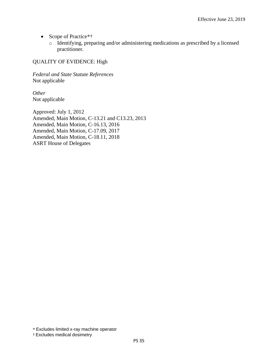- Scope of Practice\*†
	- o Identifying, preparing and/or administering medications as prescribed by a licensed practitioner.

#### QUALITY OF EVIDENCE: High

*Federal and State Statute References* Not applicable

*Other* Not applicable

Approved: July 1, 2012 Amended, Main Motion, C-13.21 and C13.23, 2013 Amended, Main Motion, C-16.13, 2016 Amended, Main Motion, C-17.09, 2017 Amended, Main Motion, C-18.11, 2018 ASRT House of Delegates

#### † Excludes medical dosimetry

<sup>\*</sup> Excludes limited x-ray machine operator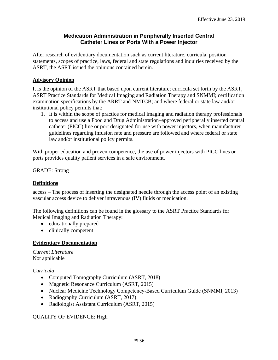### **Medication Administration in Peripherally Inserted Central Catheter Lines or Ports With a Power Injector**

<span id="page-37-0"></span>After research of evidentiary documentation such as current literature, curricula, position statements, scopes of practice, laws, federal and state regulations and inquiries received by the ASRT, the ASRT issued the opinions contained herein.

# **Advisory Opinion**

It is the opinion of the ASRT that based upon current literature; curricula set forth by the ASRT, ASRT Practice Standards for Medical Imaging and Radiation Therapy and SNMMI; certification examination specifications by the ARRT and NMTCB; and where federal or state law and/or institutional policy permits that:

1. It is within the scope of practice for medical imaging and radiation therapy professionals to access and use a Food and Drug Administration–approved peripherally inserted central catheter (PICC) line or port designated for use with power injectors, when manufacturer guidelines regarding infusion rate and pressure are followed and where federal or state law and/or institutional policy permits.

With proper education and proven competence, the use of power injectors with PICC lines or ports provides quality patient services in a safe environment.

GRADE: Strong

### **Definitions**

access – The process of inserting the designated needle through the access point of an existing vascular access device to deliver intravenous (IV) fluids or medication.

The following definitions can be found in the glossary to the ASRT Practice Standards for Medical Imaging and Radiation Therapy:

- educationally prepared
- clinically competent

# **Evidentiary Documentation**

*Current Literature* Not applicable

*Curricula*

- Computed Tomography Curriculum (ASRT, 2018)
- Magnetic Resonance Curriculum (ASRT, 2015)
- Nuclear Medicine Technology Competency-Based Curriculum Guide (SNMMI, 2013)
- Radiography Curriculum (ASRT, 2017)
- Radiologist Assistant Curriculum (ASRT, 2015)

#### QUALITY OF EVIDENCE: High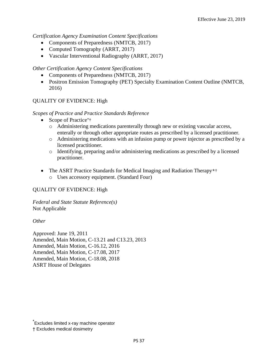*Certification Agency Examination Content Specifications*

- Components of Preparedness (NMTCB, 2017)
- Computed Tomography (ARRT, 2017)
- Vascular Interventional Radiography (ARRT, 2017)

#### *Other Certification Agency Content Specifications*

- Components of Preparedness (NMTCB, 2017)
- Positron Emission Tomography (PET) Specialty Examination Content Outline (NMTCB, 2016)

#### QUALITY OF EVIDENCE: High

#### *Scopes of Practice and Practice Standards Reference*

- Scope of Practice\*+
	- o Administering medications parenterally through new or existing vascular access, enterally or through other appropriate routes as prescribed by a licensed practitioner.
	- o Administering medications with an infusion pump or power injector as prescribed by a licensed practitioner.
	- o Identifying, preparing and/or administering medications as prescribed by a licensed practitioner.
- The ASRT Practice Standards for Medical Imaging and Radiation Therapy\*<sup>†</sup> o Uses accessory equipment. (Standard Four)

#### QUALITY OF EVIDENCE: High

*Federal and State Statute Reference(s)* Not Applicable

#### *Other*

Approved: June 19, 2011 Amended, Main Motion, C-13.21 and C13.23, 2013 Amended, Main Motion, C-16.12, 2016 Amended, Main Motion, C-17.08, 2017 Amended, Main Motion, C-18.08, 2018 ASRT House of Delegates

<sup>\*</sup> Excludes limited x-ray machine operator

<sup>†</sup> Excludes medical dosimetry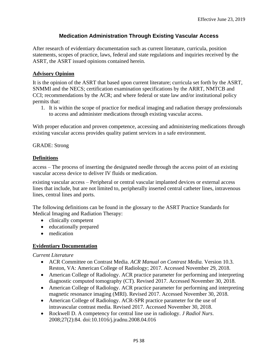# **Medication Administration Through Existing Vascular Access**

<span id="page-39-0"></span>After research of evidentiary documentation such as current literature, curricula, position statements, scopes of practice, laws, federal and state regulations and inquiries received by the ASRT, the ASRT issued opinions contained herein.

# **Advisory Opinion**

It is the opinion of the ASRT that based upon current literature; curricula set forth by the ASRT, SNMMI and the NECS; certification examination specifications by the ARRT, NMTCB and CCI; recommendations by the ACR; and where federal or state law and/or institutional policy permits that:

1. It is within the scope of practice for medical imaging and radiation therapy professionals to access and administer medications through existing vascular access.

With proper education and proven competence, accessing and administering medications through existing vascular access provides quality patient services in a safe environment.

GRADE: Strong

#### **Definitions**

access – The process of inserting the designated needle through the access point of an existing vascular access device to deliver IV fluids or medication.

existing vascular access – Peripheral or central vascular implanted devices or external access lines that include, but are not limited to, peripherally inserted central catheter lines, intravenous lines, central lines and ports.

The following definitions can be found in the glossary to the ASRT Practice Standards for Medical Imaging and Radiation Therapy:

- clinically competent
- educationally prepared
- medication

# **Evidentiary Documentation**

*Current Literature*

- ACR Committee on Contrast Media. *ACR Manual on Contrast Media.* Version 10.3. Reston, VA: American College of Radiology; 2017. Accessed November 29, 2018.
- American College of Radiology. ACR practice parameter for performing and interpreting diagnostic computed tomography (CT). Revised 2017. Accessed November 30, 2018.
- American College of Radiology. ACR practice parameter for performing and interpreting magnetic resonance imaging (MRI). Revised 2017. Accessed November 30, 2018.
- American College of Radiology. ACR-SPR practice parameter for the use of intravascular contrast media. Revised 2017. Accessed November 30, 2018.
- Rockwell D. A competency for central line use in radiology. *J Radiol Nurs*. 2008;27(2):84. doi:10.1016/j.jradnu.2008.04.016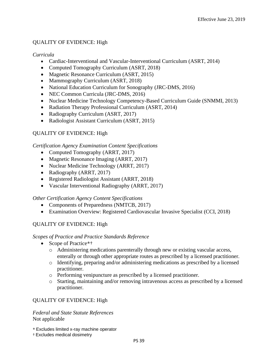### QUALITY OF EVIDENCE: High

*Curricula*

- Cardiac-Interventional and Vascular-Interventional Curriculum (ASRT, 2014)
- Computed Tomography Curriculum (ASRT, 2018)
- Magnetic Resonance Curriculum (ASRT, 2015)
- Mammography Curriculum (ASRT, 2018)
- National Education Curriculum for Sonography (JRC-DMS, 2016)
- NEC Common Curricula (JRC-DMS, 2016)
- Nuclear Medicine Technology Competency-Based Curriculum Guide (SNMMI, 2013)
- Radiation Therapy Professional Curriculum (ASRT, 2014)
- Radiography Curriculum (ASRT, 2017)
- Radiologist Assistant Curriculum (ASRT, 2015)

# QUALITY OF EVIDENCE: High

#### *Certification Agency Examination Content Specifications*

- Computed Tomography (ARRT, 2017)
- Magnetic Resonance Imaging (ARRT, 2017)
- Nuclear Medicine Technology (ARRT, 2017)
- Radiography (ARRT, 2017)
- Registered Radiologist Assistant (ARRT, 2018)
- Vascular Interventional Radiography (ARRT, 2017)

#### *Other Certification Agency Content Specifications*

- Components of Preparedness (NMTCB, 2017)
- Examination Overview: Registered Cardiovascular Invasive Specialist (CCI, 2018)

#### QUALITY OF EVIDENCE: High

#### *Scopes of Practice and Practice Standards Reference*

- Scope of Practice\*†
	- o Administering medications parenterally through new or existing vascular access, enterally or through other appropriate routes as prescribed by a licensed practitioner.
	- o Identifying, preparing and/or administering medications as prescribed by a licensed practitioner.
	- o Performing venipuncture as prescribed by a licensed practitioner.
	- o Starting, maintaining and/or removing intravenous access as prescribed by a licensed practitioner.

#### QUALITY OF EVIDENCE: High

*Federal and State Statute References* Not applicable

- \* Excludes limited x-ray machine operator
- † Excludes medical dosimetry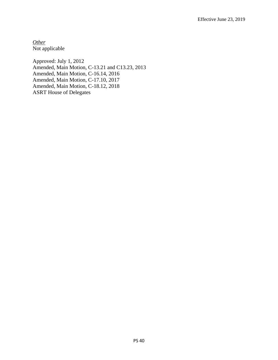*Other* Not applicable

Approved: July 1, 2012 Amended, Main Motion, C-13.21 and C13.23, 2013 Amended, Main Motion, C-16.14, 2016 Amended, Main Motion, C-17.10, 2017 Amended, Main Motion, C-18.12, 2018 ASRT House of Delegates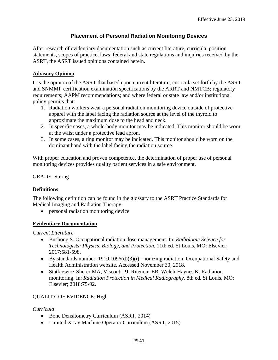# **Placement of Personal Radiation Monitoring Devices**

<span id="page-42-0"></span>After research of evidentiary documentation such as current literature, curricula, position statements, scopes of practice, laws, federal and state regulations and inquiries received by the ASRT, the ASRT issued opinions contained herein.

# **Advisory Opinion**

It is the opinion of the ASRT that based upon current literature; curricula set forth by the ASRT and SNMMI; certification examination specifications by the ARRT and NMTCB; regulatory requirements; AAPM recommendations; and where federal or state law and/or institutional policy permits that:

- 1. Radiation workers wear a personal radiation monitoring device outside of protective apparel with the label facing the radiation source at the level of the thyroid to approximate the maximum dose to the head and neck.
- 2. In specific cases, a whole-body monitor may be indicated. This monitor should be worn at the waist under a protective lead apron.
- 3. In some cases, a ring monitor may be indicated. This monitor should be worn on the dominant hand with the label facing the radiation source.

With proper education and proven competence, the determination of proper use of personal monitoring devices provides quality patient services in a safe environment.

#### GRADE: Strong

#### **Definitions**

The following definition can be found in the glossary to the ASRT Practice Standards for Medical Imaging and Radiation Therapy:

• personal radiation monitoring device

#### **Evidentiary Documentation**

*Current Literature*

- Bushong S. Occupational radiation dose management. In: *Radiologic Science for Technologists: Physics, Biology, and Protection.* 11th ed. St Louis, MO: Elsevier; 2017:581-598.
- By standards number:  $1910.1096(d)(3)(i) 0.012(n)$  radiation. Occupational Safety and Health Administration website. Accessed November 30, 2018.
- Statkiewicz-Sherer MA, Visconti PJ, Ritenour ER, Welch-Haynes K. Radiation monitoring. In: *Radiation Protection in Medical Radiography.* 8th ed. St Louis, MO: Elsevier; 2018:75-92.

#### QUALITY OF EVIDENCE: High

#### *Curricula*

- Bone Densitometry Curriculum (ASRT, 2014)
- Limited X-ray Machine Operator Curriculum (ASRT, 2015)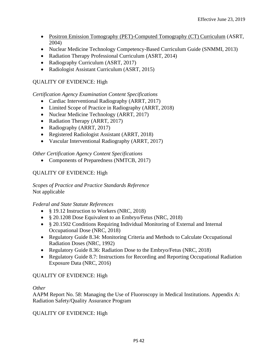- Positron Emission Tomography (PET)-Computed Tomography (CT) Curriculum (ASRT, 2004)
- Nuclear Medicine Technology Competency-Based Curriculum Guide (SNMMI, 2013)
- Radiation Therapy Professional Curriculum (ASRT, 2014)
- Radiography Curriculum (ASRT, 2017)
- Radiologist Assistant Curriculum (ASRT, 2015)

# QUALITY OF EVIDENCE: High

# *Certification Agency Examination Content Specifications*

- Cardiac Interventional Radiography (ARRT, 2017)
- Limited Scope of Practice in Radiography (ARRT, 2018)
- Nuclear Medicine Technology (ARRT, 2017)
- Radiation Therapy (ARRT, 2017)
- Radiography (ARRT, 2017)
- Registered Radiologist Assistant (ARRT, 2018)
- Vascular Interventional Radiography (ARRT, 2017)

#### *Other Certification Agency Content Specifications*

• Components of Preparedness (NMTCB, 2017)

# QUALITY OF EVIDENCE: High

*Scopes of Practice and Practice Standards Reference* Not applicable

#### *Federal and State Statute References*

- § 19.12 Instruction to Workers (NRC, 2018)
- § 20.1208 Dose Equivalent to an Embryo/Fetus (NRC, 2018)
- § 20.1502 Conditions Requiring Individual Monitoring of External and Internal Occupational Dose (NRC, 2018)
- Regulatory Guide 8.34: Monitoring Criteria and Methods to Calculate Occupational Radiation Doses (NRC, 1992)
- Regulatory Guide 8.36: Radiation Dose to the Embryo/Fetus (NRC, 2018)
- Regulatory Guide 8.7: Instructions for Recording and Reporting Occupational Radiation Exposure Data (NRC, 2016)

#### QUALITY OF EVIDENCE: High

#### *Other*

AAPM Report No. 58: Managing the Use of Fluoroscopy in Medical Institutions. Appendix A: Radiation Safety/Quality Assurance Program

#### QUALITY OF EVIDENCE: High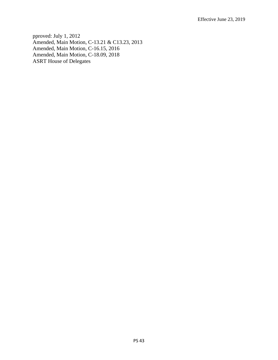pproved: July 1, 2012 Amended, Main Motion, C-13.21 & C13.23, 2013 Amended, Main Motion, C-16.15, 2016 Amended, Main Motion, C-18.09, 2018 ASRT House of Delegates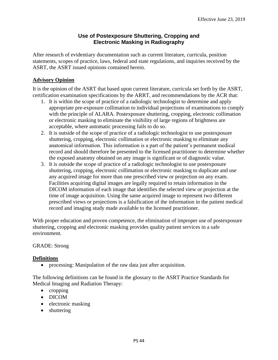# **Use of Postexposure Shuttering, Cropping and Electronic Masking in Radiography**

<span id="page-45-0"></span>After research of evidentiary documentation such as current literature, curricula, position statements, scopes of practice, laws, federal and state regulations, and inquiries received by the ASRT, the ASRT issued opinions contained herein.

# **Advisory Opinion**

It is the opinion of the ASRT that based upon current literature, curricula set forth by the ASRT, certification examination specifications by the ARRT, and recommendations by the ACR that:

- 1. It is within the scope of practice of a radiologic technologist to determine and apply appropriate pre-exposure collimation to individual projections of examinations to comply with the principle of ALARA. Postexposure shuttering, cropping, electronic collimation or electronic masking to eliminate the visibility of large regions of brightness are acceptable, where automatic processing fails to do so.
- 2. It is outside of the scope of practice of a radiologic technologist to use postexposure shuttering, cropping, electronic collimation or electronic masking to eliminate any anatomical information. This information is a part of the patient's permanent medical record and should therefore be presented to the licensed practitioner to determine whether the exposed anatomy obtained on any image is significant or of diagnostic value.
- 3. It is outside the scope of practice of a radiologic technologist to use postexposure shuttering, cropping, electronic collimation or electronic masking to duplicate and use any acquired image for more than one prescribed view or projection on any exam. Facilities acquiring digital images are legally required to retain information in the DICOM information of each image that identifies the selected view or projection at the time of image acquisition. Using the same acquired image to represent two different prescribed views or projections is a falsification of the information in the patient medical record and imaging study made available to the licensed practitioner.

With proper education and proven competence, the elimination of improper use of postexposure shuttering, cropping and electronic masking provides quality patient services in a safe environment.

#### GRADE: Strong

#### **Definitions**

• processing: Manipulation of the raw data just after acquisition.

The following definitions can be found in the glossary to the ASRT Practice Standards for Medical Imaging and Radiation Therapy:

- cropping
- DICOM
- electronic masking
- shuttering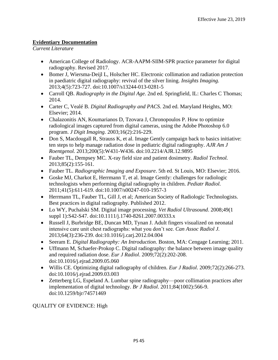# **Evidentiary Documentation**

*Current Literature*

- American College of Radiology. ACR-AAPM-SIIM-SPR practice parameter for digital radiography. Revised 2017.
- Bomer J, Wiersma-Deijl L, Holscher HC. Electronic collimation and radiation protection in paediatric digital radiography: revival of the silver lining. *Insights Imaging.* 2013;4(5):723-727. doi:10.1007/s13244-013-0281-5
- Carroll QB. *Radiography in the Digital Age*. 2nd ed. Springfield, IL: Charles C Thomas; 2014.
- Carter C, Vealé B. *Digital Radiography and PACS*. 2nd ed. Maryland Heights, MO: Elsevier; 2014.
- Chalazonitis AN, Koumarianos D, Tzovara J, Chronopoulos P. How to optimize radiological images captured from digital cameras, using the Adobe Photoshop 6.0 program. *J Digit Imaging.* 2003;16(2):216-229.
- Don S, Macdougall R, Strauss K, et al. Image Gently campaign back to basics initiative: ten steps to help manage radiation dose in pediatric digital radiography. *AJR Am J Roentgenol.* 2013;200(5):W431-W436. doi:10.2214/AJR.12.9895
- Fauber TL, Dempsey MC. X-ray field size and patient dosimetry. *Radiol Technol.* 2013;85(2):155-161.
- Fauber TL. *Radiographic Imaging and Exposure*. 5th ed. St Louis, MO: Elsevier; 2016.
- Goske MJ, Charkot E, Herrmann T, et al. Image Gently: challenges for radiologic technologists when performing digital radiography in children. *Pediatr Radiol.* 2011;41(5):611-619. doi:10.1007/s00247-010-1957-3
- Herrmann TL, Fauber TL, Gill J, et al; American Society of Radiologic Technologists. Best practices in digital radiography. Published 2012.
- Lo WY, Puchalski SM. Digital image processing. *Vet Radiol Ultrasound*. 2008;49(1 suppl 1):S42-S47. doi:10.1111/j.1740-8261.2007.00333.x
- Russell J, Burbridge BE, Duncan MD, Tynan J. Adult fingers visualized on neonatal intensive care unit chest radiographs: what you don't see. *Can Assoc Radiol J.* 2013;64(3):236-239. doi:10.1016/j.carj.2012.04.004
- Seeram E. *Digital Radiography: An Introduction*. Boston, MA: Cengage Learning; 2011.
- Uffmann M, Schaefer-Prokop C. Digital radiography: the balance between image quality and required radiation dose. *Eur J Radiol*. 2009;72(2):202-208. doi:10.1016/j.ejrad.2009.05.060
- Willis CE. Optimizing digital radiography of children. *Eur J Radiol*. 2009;72(2):266-273. doi:10.1016/j.ejrad.2009.03.003
- Zetterberg LG, Espeland A. Lumbar spine radiography—poor collimation practices after implementation of digital technology. *Br J Radiol*. 2011;84(1002):566-9. doi:10.1259/bjr/74571469

# QUALITY OF EVIDENCE: High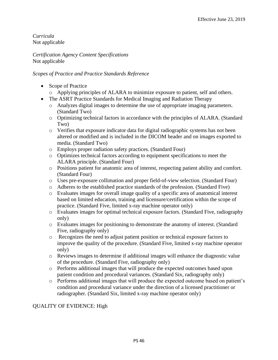*Curricula* Not applicable

*Certification Agency Content Specifications* Not applicable

# *Scopes of Practice and Practice Standards Reference*

- Scope of Practice
	- o Applying principles of ALARA to minimize exposure to patient, self and others.
- The ASRT Practice Standards for Medical Imaging and Radiation Therapy
	- o Analyzes digital images to determine the use of appropriate imaging parameters. (Standard Two)
	- o Optimizing technical factors in accordance with the principles of ALARA. (Standard Two)
	- o Verifies that exposure indicator data for digital radiographic systems has not been altered or modified and is included in the DICOM header and on images exported to media. (Standard Two)
	- o Employs proper radiation safety practices. (Standard Four)
	- o Optimizes technical factors according to equipment specifications to meet the ALARA principle. (Standard Four)
	- o Positions patient for anatomic area of interest, respecting patient ability and comfort. (Standard Four)
	- o Uses pre-exposure collimation and proper field-of-view selection. (Standard Four)
	- o Adheres to the established practice standards of the profession. (Standard Five)
	- o Evaluates images for overall image quality of a specific area of anatomical interest based on limited education, training and licensure/certification within the scope of practice. (Standard Five, limited x-ray machine operator only)
	- o Evaluates images for optimal technical exposure factors. (Standard Five, radiography only)
	- o Evaluates images for positioning to demonstrate the anatomy of interest. (Standard Five, radiography only)
	- o Recognizes the need to adjust patient position or technical exposure factors to improve the quality of the procedure. (Standard Five, limited x-ray machine operator only)
	- o Reviews images to determine if additional images will enhance the diagnostic value of the procedure. (Standard Five, radiography only)
	- o Performs additional images that will produce the expected outcomes based upon patient condition and procedural variances. (Standard Six, radiography only)
	- o Performs additional images that will produce the expected outcome based on patient's condition and procedural variance under the direction of a licensed practitioner or radiographer. (Standard Six, limited x-ray machine operator only)

# QUALITY OF EVIDENCE: High